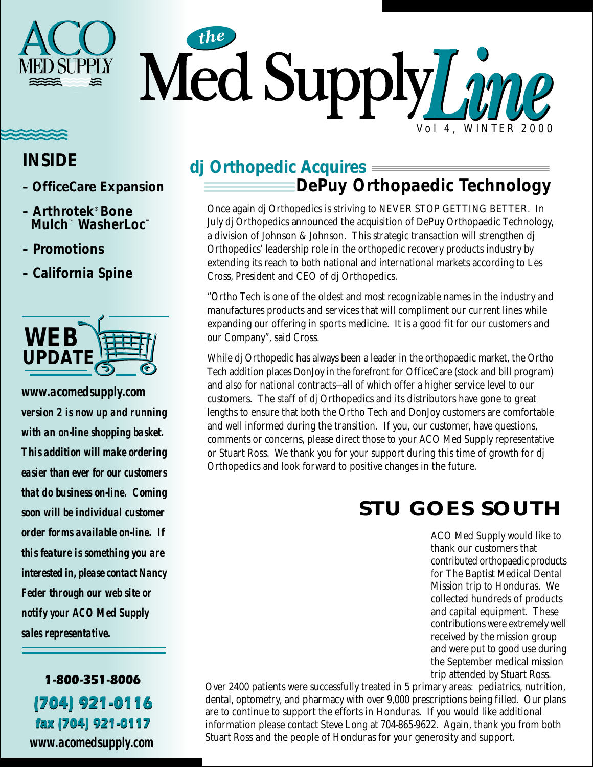

#### **INSIDE**

- **OfficeCare Expansion**
- **Arthrotek® Bone Mulch™ WasherLoc™**
- **Promotions**
- **California Spine**



*www.acomedsupply.com version 2 is now up and running with an on-line shopping basket. This addition will make ordering easier than ever for our customers that do business on-line. Coming soon will be individual customer order forms available on-line. If this feature is something you are interested in, please contact Nancy Feder through our web site or notify your ACO Med Supply sales representative.*

1-800-351-8006 (704) 921-0116 fax (704) 921-0117

*www.acomedsupply.com*

#### **dj Orthopedic Acquires DePuy Orthopaedic Technology**

Once again dj Orthopedics is striving to NEVER STOP GETTING BETTER. In July dj Orthopedics announced the acquisition of DePuy Orthopaedic Technology, a division of Johnson & Johnson. This strategic transaction will strengthen dj Orthopedics' leadership role in the orthopedic recovery products industry by extending its reach to both national and international markets according to Les Cross, President and CEO of dj Orthopedics.

"Ortho Tech is one of the oldest and most recognizable names in the industry and manufactures products and services that will compliment our current lines while expanding our offering in sports medicine. It is a good fit for our customers and our Company", said Cross.

While dj Orthopedic has always been a leader in the orthopaedic market, the Ortho Tech addition places DonJoy in the forefront for OfficeCare (stock and bill program) and also for national contracts—all of which offer a higher service level to our customers. The staff of dj Orthopedics and its distributors have gone to great lengths to ensure that both the Ortho Tech and DonJoy customers are comfortable and well informed during the transition. If you, our customer, have questions, comments or concerns, please direct those to your ACO Med Supply representative or Stuart Ross. We thank you for your support during this time of growth for dj Orthopedics and look forward to positive changes in the future.

### **STU GOES SOUTH**

ACO Med Supply would like to thank our customers that contributed orthopaedic products for The Baptist Medical Dental Mission trip to Honduras. We collected hundreds of products and capital equipment. These contributions were extremely well received by the mission group and were put to good use during the September medical mission trip attended by Stuart Ross.

Over 2400 patients were successfully treated in 5 primary areas: pediatrics, nutrition, dental, optometry, and pharmacy with over 9,000 prescriptions being filled. Our plans are to continue to support the efforts in Honduras. If you would like additional information please contact Steve Long at 704-865-9622. Again, thank you from both Stuart Ross and the people of Honduras for your generosity and support.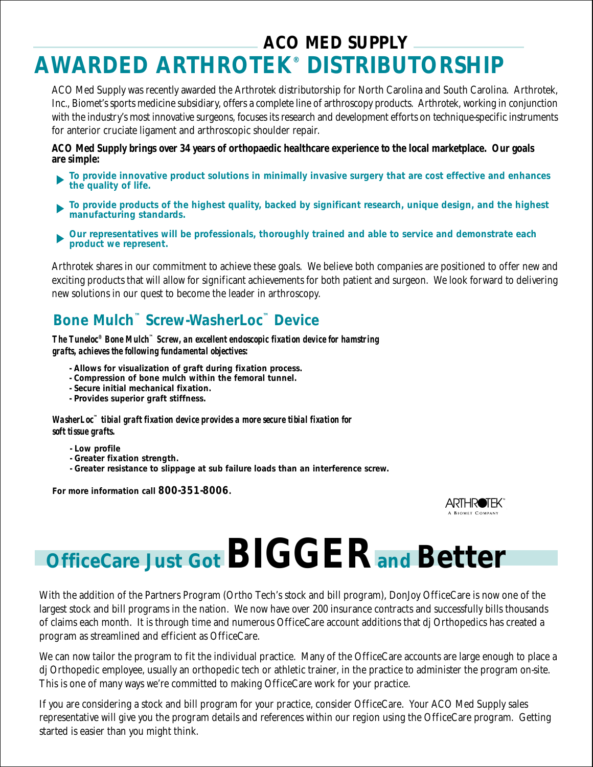### **ACO MED SUPPLY AWARDED ARTHROTEK® DISTRIBUTORSHIP**

ACO Med Supply was recently awarded the Arthrotek distributorship for North Carolina and South Carolina. Arthrotek, Inc., Biomet's sports medicine subsidiary, offers a complete line of arthroscopy products. Arthrotek, working in conjunction with the industry's most innovative surgeons, focuses its research and development efforts on technique-specific instruments for anterior cruciate ligament and arthroscopic shoulder repair.

**ACO Med Supply brings over 34 years of orthopaedic healthcare experience to the local marketplace. Our goals are simple:**

- **To provide innovative product solutions in minimally invasive surgery that are cost effective and enhances the quality of life.**
- **To provide products of the highest quality, backed by significant research, unique design, and the highest manufacturing standards.**
- **Our representatives will be professionals, thoroughly trained and able to service and demonstrate each product we represent.**

Arthrotek shares in our commitment to achieve these goals. We believe both companies are positioned to offer new and exciting products that will allow for significant achievements for both patient and surgeon. We look forward to delivering new solutions in our quest to become the leader in arthroscopy.

#### **Bone Mulch™ Screw-WasherLoc™ Device**

*The Tuneloc® Bone Mulch™ Screw, an excellent endoscopic fixation device for hamstring grafts, achieves the following fundamental objectives:*

- **Allows for visualization of graft during fixation process.**
- **Compression of bone mulch within the femoral tunnel.**
- **Secure initial mechanical fixation.**
- **Provides superior graft stiffness.**

*WasherLoc™ tibial graft fixation device provides a more secure tibial fixation for soft tissue grafts.*

- **Low profile**
- **Greater fixation strength.**
- **Greater resistance to slippage at sub failure loads than an interference screw.**

**For more information call 800-351-8006.**



# **OfficeCare Just Got BIGGER and Better**

With the addition of the Partners Program (Ortho Tech's stock and bill program), DonJoy OfficeCare is now one of the largest stock and bill programs in the nation. We now have over 200 insurance contracts and successfully bills thousands of claims each month. It is through time and numerous OfficeCare account additions that dj Orthopedics has created a program as streamlined and efficient as OfficeCare.

We can now tailor the program to fit the individual practice. Many of the OfficeCare accounts are large enough to place a dj Orthopedic employee, usually an orthopedic tech or athletic trainer, in the practice to administer the program on-site. This is one of many ways we're committed to making OfficeCare work for your practice.

If you are considering a stock and bill program for your practice, consider OfficeCare. Your ACO Med Supply sales representative will give you the program details and references within our region using the OfficeCare program. Getting started is easier than you might think.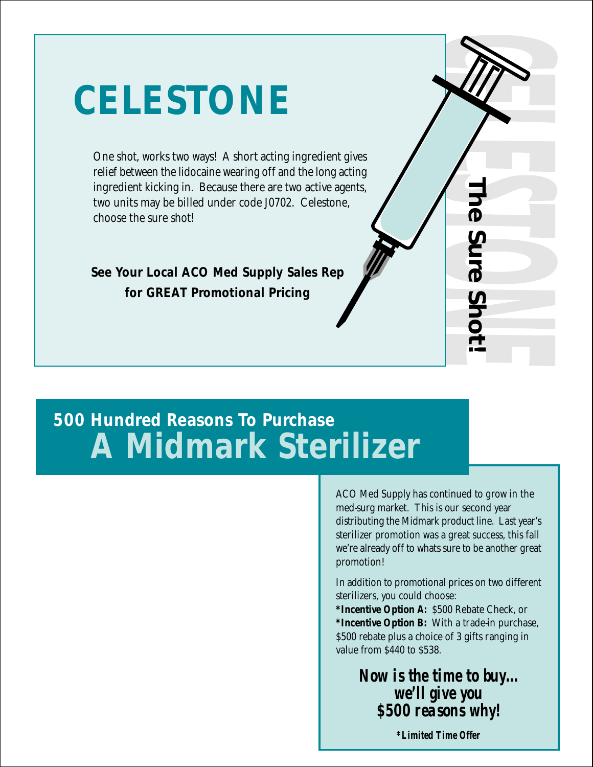# **CELESTONE**

One shot, works two ways! A short acting ingredient gives relief between the lidocaine wearing off and the long acting ingredient kicking in. Because there are two active agents, two units may be billed under code J0702. Celestone, choose the sure shot!

**See Your Local ACO Med Supply Sales Rep for GREAT Promotional Pricing**

## **500 Hundred Reasons To Purchase A Midmark Sterilizer**

ACO Med Supply has continued to grow in the med-surg market. This is our second year distributing the Midmark product line. Last year's sterilizer promotion was a great success, this fall we're already off to whats sure to be another great promotion!

**The Sure Shot!**

Shc

**The Sure** 

In addition to promotional prices on two different sterilizers, you could choose:

**\*Incentive Option A:** \$500 Rebate Check, or **\*Incentive Option B:** With a trade-in purchase, \$500 rebate plus a choice of 3 gifts ranging in value from \$440 to \$538.

> *Now is the time to buy... we'll give you \$500 reasons why!*

> > *\*Limited Time Offer*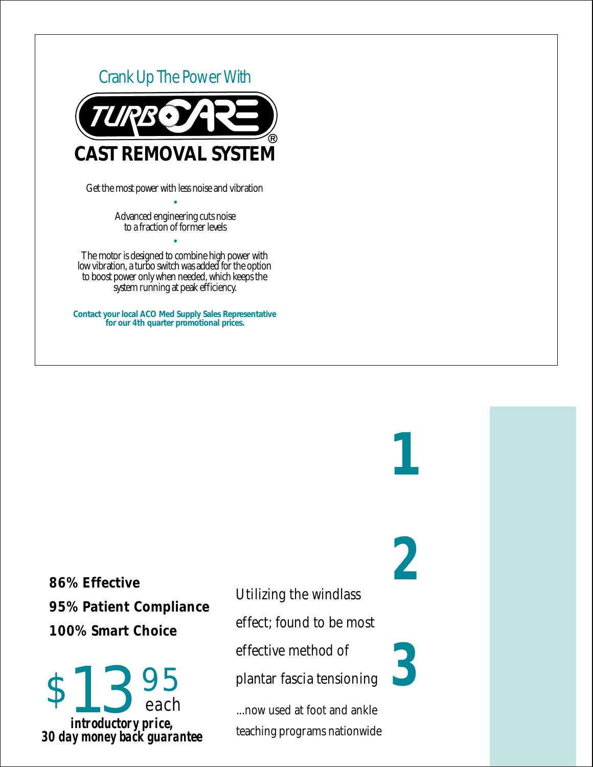

• Advanced engineering cuts noise to a fraction of former levels

•

The motor is designed to combine high power with low vibration, a turbo switch was added for the option to boost power only when needed, which keeps the system running at peak efficiency.

**Contact your local ACO Med Supply Sales Representative for our 4th quarter promotional prices.**

**86% Effective 95% Patient Compliance 100% Smart Choice**

effective method of<br> **3** 95 plantar fascia tensioning<br>
each method at foot and ankle each *introductory price, 30 day money back guarantee*

Utilizing the windlass

**1**

**2**

effect; found to be most

effective method of

plantar fascia tensioning

...now used at foot and ankle teaching programs nationwide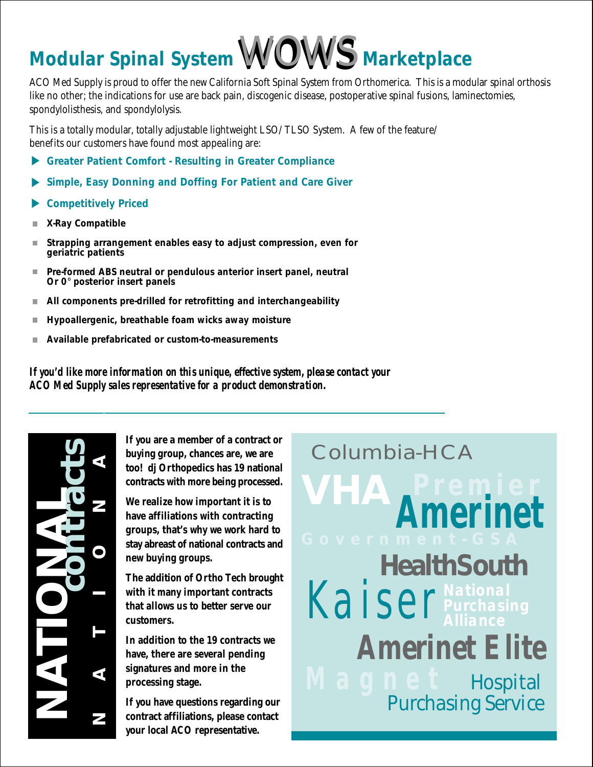# **Modular Spinal System**WOWS **Marketplace**

ACO Med Supply is proud to offer the new California Soft Spinal System from Orthomerica. This is a modular spinal orthosis like no other; the indications for use are back pain, discogenic disease, postoperative spinal fusions, laminectomies, spondylolisthesis, and spondylolysis.

This is a totally modular, totally adjustable lightweight LSO/TLSO System. A few of the feature/ benefits our customers have found most appealing are:

- **Greater Patient Comfort Resulting in Greater Compliance**
- **Simple, Easy Donning and Doffing For Patient and Care Giver**  $\blacktriangleright$
- **Competitively Priced**
- **X-Ray Compatible**
- **Strapping arrangement enables easy to adjust compression, even for geriatric patients**
- **Pre-formed ABS neutral or pendulous anterior insert panel, neutral** m. **Or 0**° **posterior insert panels**
- **All components pre-drilled for retrofitting and interchangeability** m.
- **Hypoallergenic, breathable foam wicks away moisture** П
- **Available prefabricated or custom-to-measurements**

*If you'd like more information on this unique, effective system, please contact your ACO Med Supply sales representative for a product demonstration.*

**NATIONAL NATIONAL contracts**

**If you are a member of a contract or buying group, chances are, we are too! dj Orthopedics has 19 national contracts with more being processed.**

**We realize how important it is to have affiliations with contracting groups, that's why we work hard to stay abreast of national contracts and new buying groups.**

**The addition of Ortho Tech brought with it many important contracts that allows us to better serve our customers.**

**In addition to the 19 contracts we have, there are several pending signatures and more in the processing stage.**

**If you have questions regarding our contract affiliations, please contact your local ACO representative.**

**Columbia-HCA VHA Premier Amerinet HealthSouth** Kaiser **Amerinet Elite Hospital** Purchasing Service